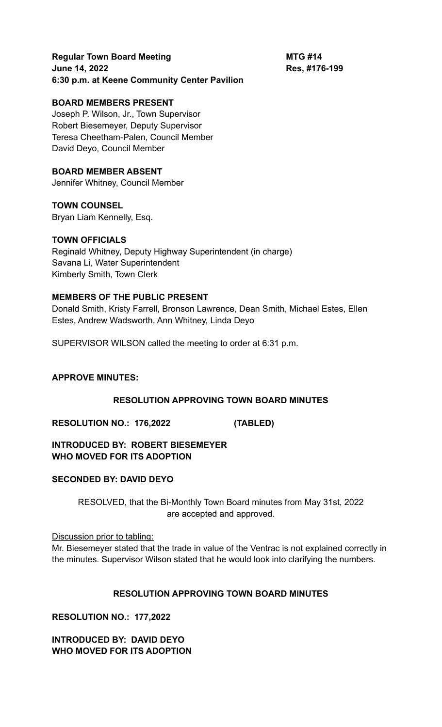# **Regular Town Board Meeting <b>MTG #14 June 14, 2022 Res, #176-199 6:30 p.m. at Keene Community Center Pavilion**

# **BOARD MEMBERS PRESENT**

Joseph P. Wilson, Jr., Town Supervisor Robert Biesemeyer, Deputy Supervisor Teresa Cheetham-Palen, Council Member David Deyo, Council Member

# **BOARD MEMBER ABSENT**

Jennifer Whitney, Council Member

**TOWN COUNSEL**

Bryan Liam Kennelly, Esq.

## **TOWN OFFICIALS**

Reginald Whitney, Deputy Highway Superintendent (in charge) Savana Li, Water Superintendent Kimberly Smith, Town Clerk

## **MEMBERS OF THE PUBLIC PRESENT**

Donald Smith, Kristy Farrell, Bronson Lawrence, Dean Smith, Michael Estes, Ellen Estes, Andrew Wadsworth, Ann Whitney, Linda Deyo

SUPERVISOR WILSON called the meeting to order at 6:31 p.m.

## **APPROVE MINUTES:**

## **RESOLUTION APPROVING TOWN BOARD MINUTES**

**RESOLUTION NO.: 176,2022 (TABLED)**

**INTRODUCED BY: ROBERT BIESEMEYER WHO MOVED FOR ITS ADOPTION**

## **SECONDED BY: DAVID DEYO**

RESOLVED, that the Bi-Monthly Town Board minutes from May 31st, 2022 are accepted and approved.

Discussion prior to tabling:

Mr. Biesemeyer stated that the trade in value of the Ventrac is not explained correctly in the minutes. Supervisor Wilson stated that he would look into clarifying the numbers.

## **RESOLUTION APPROVING TOWN BOARD MINUTES**

**RESOLUTION NO.: 177,2022**

**INTRODUCED BY: DAVID DEYO WHO MOVED FOR ITS ADOPTION**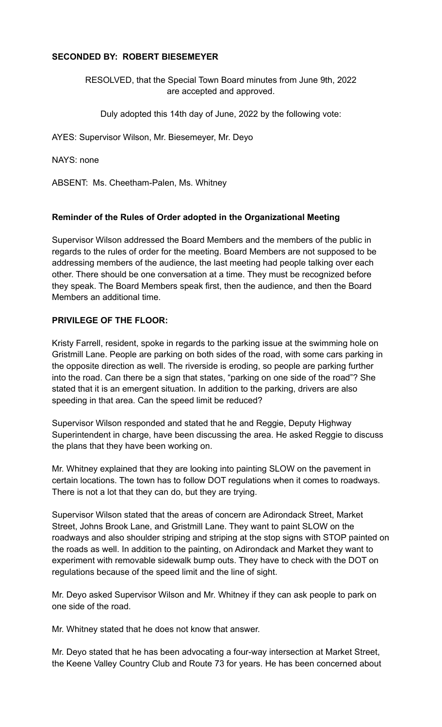# **SECONDED BY: ROBERT BIESEMEYER**

RESOLVED, that the Special Town Board minutes from June 9th, 2022 are accepted and approved.

Duly adopted this 14th day of June, 2022 by the following vote:

AYES: Supervisor Wilson, Mr. Biesemeyer, Mr. Deyo

NAYS: none

ABSENT: Ms. Cheetham-Palen, Ms. Whitney

## **Reminder of the Rules of Order adopted in the Organizational Meeting**

Supervisor Wilson addressed the Board Members and the members of the public in regards to the rules of order for the meeting. Board Members are not supposed to be addressing members of the audience, the last meeting had people talking over each other. There should be one conversation at a time. They must be recognized before they speak. The Board Members speak first, then the audience, and then the Board Members an additional time.

## **PRIVILEGE OF THE FLOOR:**

Kristy Farrell, resident, spoke in regards to the parking issue at the swimming hole on Gristmill Lane. People are parking on both sides of the road, with some cars parking in the opposite direction as well. The riverside is eroding, so people are parking further into the road. Can there be a sign that states, "parking on one side of the road"? She stated that it is an emergent situation. In addition to the parking, drivers are also speeding in that area. Can the speed limit be reduced?

Supervisor Wilson responded and stated that he and Reggie, Deputy Highway Superintendent in charge, have been discussing the area. He asked Reggie to discuss the plans that they have been working on.

Mr. Whitney explained that they are looking into painting SLOW on the pavement in certain locations. The town has to follow DOT regulations when it comes to roadways. There is not a lot that they can do, but they are trying.

Supervisor Wilson stated that the areas of concern are Adirondack Street, Market Street, Johns Brook Lane, and Gristmill Lane. They want to paint SLOW on the roadways and also shoulder striping and striping at the stop signs with STOP painted on the roads as well. In addition to the painting, on Adirondack and Market they want to experiment with removable sidewalk bump outs. They have to check with the DOT on regulations because of the speed limit and the line of sight.

Mr. Deyo asked Supervisor Wilson and Mr. Whitney if they can ask people to park on one side of the road.

Mr. Whitney stated that he does not know that answer.

Mr. Deyo stated that he has been advocating a four-way intersection at Market Street, the Keene Valley Country Club and Route 73 for years. He has been concerned about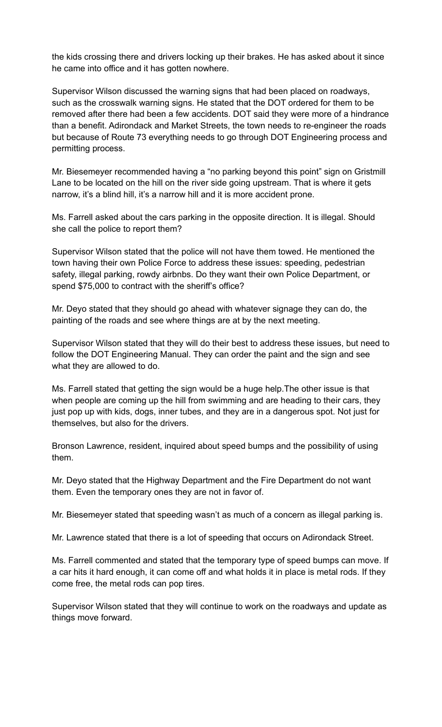the kids crossing there and drivers locking up their brakes. He has asked about it since he came into office and it has gotten nowhere.

Supervisor Wilson discussed the warning signs that had been placed on roadways, such as the crosswalk warning signs. He stated that the DOT ordered for them to be removed after there had been a few accidents. DOT said they were more of a hindrance than a benefit. Adirondack and Market Streets, the town needs to re-engineer the roads but because of Route 73 everything needs to go through DOT Engineering process and permitting process.

Mr. Biesemeyer recommended having a "no parking beyond this point" sign on Gristmill Lane to be located on the hill on the river side going upstream. That is where it gets narrow, it's a blind hill, it's a narrow hill and it is more accident prone.

Ms. Farrell asked about the cars parking in the opposite direction. It is illegal. Should she call the police to report them?

Supervisor Wilson stated that the police will not have them towed. He mentioned the town having their own Police Force to address these issues: speeding, pedestrian safety, illegal parking, rowdy airbnbs. Do they want their own Police Department, or spend \$75,000 to contract with the sheriff's office?

Mr. Deyo stated that they should go ahead with whatever signage they can do, the painting of the roads and see where things are at by the next meeting.

Supervisor Wilson stated that they will do their best to address these issues, but need to follow the DOT Engineering Manual. They can order the paint and the sign and see what they are allowed to do.

Ms. Farrell stated that getting the sign would be a huge help.The other issue is that when people are coming up the hill from swimming and are heading to their cars, they just pop up with kids, dogs, inner tubes, and they are in a dangerous spot. Not just for themselves, but also for the drivers.

Bronson Lawrence, resident, inquired about speed bumps and the possibility of using them.

Mr. Deyo stated that the Highway Department and the Fire Department do not want them. Even the temporary ones they are not in favor of.

Mr. Biesemeyer stated that speeding wasn't as much of a concern as illegal parking is.

Mr. Lawrence stated that there is a lot of speeding that occurs on Adirondack Street.

Ms. Farrell commented and stated that the temporary type of speed bumps can move. If a car hits it hard enough, it can come off and what holds it in place is metal rods. If they come free, the metal rods can pop tires.

Supervisor Wilson stated that they will continue to work on the roadways and update as things move forward.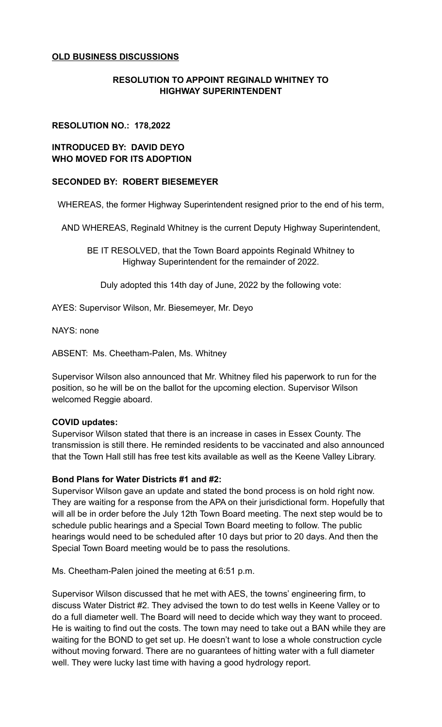# **OLD BUSINESS DISCUSSIONS**

# **RESOLUTION TO APPOINT REGINALD WHITNEY TO HIGHWAY SUPERINTENDENT**

## **RESOLUTION NO.: 178,2022**

## **INTRODUCED BY: DAVID DEYO WHO MOVED FOR ITS ADOPTION**

## **SECONDED BY: ROBERT BIESEMEYER**

WHEREAS, the former Highway Superintendent resigned prior to the end of his term,

AND WHEREAS, Reginald Whitney is the current Deputy Highway Superintendent,

BE IT RESOLVED, that the Town Board appoints Reginald Whitney to Highway Superintendent for the remainder of 2022.

Duly adopted this 14th day of June, 2022 by the following vote:

AYES: Supervisor Wilson, Mr. Biesemeyer, Mr. Deyo

NAYS: none

ABSENT: Ms. Cheetham-Palen, Ms. Whitney

Supervisor Wilson also announced that Mr. Whitney filed his paperwork to run for the position, so he will be on the ballot for the upcoming election. Supervisor Wilson welcomed Reggie aboard.

## **COVID updates:**

Supervisor Wilson stated that there is an increase in cases in Essex County. The transmission is still there. He reminded residents to be vaccinated and also announced that the Town Hall still has free test kits available as well as the Keene Valley Library.

## **Bond Plans for Water Districts #1 and #2:**

Supervisor Wilson gave an update and stated the bond process is on hold right now. They are waiting for a response from the APA on their jurisdictional form. Hopefully that will all be in order before the July 12th Town Board meeting. The next step would be to schedule public hearings and a Special Town Board meeting to follow. The public hearings would need to be scheduled after 10 days but prior to 20 days. And then the Special Town Board meeting would be to pass the resolutions.

Ms. Cheetham-Palen joined the meeting at 6:51 p.m.

Supervisor Wilson discussed that he met with AES, the towns' engineering firm, to discuss Water District #2. They advised the town to do test wells in Keene Valley or to do a full diameter well. The Board will need to decide which way they want to proceed. He is waiting to find out the costs. The town may need to take out a BAN while they are waiting for the BOND to get set up. He doesn't want to lose a whole construction cycle without moving forward. There are no guarantees of hitting water with a full diameter well. They were lucky last time with having a good hydrology report.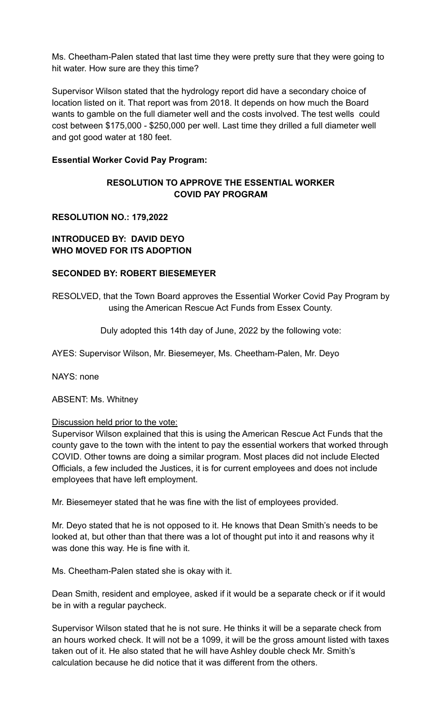Ms. Cheetham-Palen stated that last time they were pretty sure that they were going to hit water. How sure are they this time?

Supervisor Wilson stated that the hydrology report did have a secondary choice of location listed on it. That report was from 2018. It depends on how much the Board wants to gamble on the full diameter well and the costs involved. The test wells could cost between \$175,000 - \$250,000 per well. Last time they drilled a full diameter well and got good water at 180 feet.

## **Essential Worker Covid Pay Program:**

# **RESOLUTION TO APPROVE THE ESSENTIAL WORKER COVID PAY PROGRAM**

## **RESOLUTION NO.: 179,2022**

## **INTRODUCED BY: DAVID DEYO WHO MOVED FOR ITS ADOPTION**

## **SECONDED BY: ROBERT BIESEMEYER**

RESOLVED, that the Town Board approves the Essential Worker Covid Pay Program by using the American Rescue Act Funds from Essex County.

Duly adopted this 14th day of June, 2022 by the following vote:

AYES: Supervisor Wilson, Mr. Biesemeyer, Ms. Cheetham-Palen, Mr. Deyo

NAYS: none

ABSENT: Ms. Whitney

#### Discussion held prior to the vote:

Supervisor Wilson explained that this is using the American Rescue Act Funds that the county gave to the town with the intent to pay the essential workers that worked through COVID. Other towns are doing a similar program. Most places did not include Elected Officials, a few included the Justices, it is for current employees and does not include employees that have left employment.

Mr. Biesemeyer stated that he was fine with the list of employees provided.

Mr. Deyo stated that he is not opposed to it. He knows that Dean Smith's needs to be looked at, but other than that there was a lot of thought put into it and reasons why it was done this way. He is fine with it.

Ms. Cheetham-Palen stated she is okay with it.

Dean Smith, resident and employee, asked if it would be a separate check or if it would be in with a regular paycheck.

Supervisor Wilson stated that he is not sure. He thinks it will be a separate check from an hours worked check. It will not be a 1099, it will be the gross amount listed with taxes taken out of it. He also stated that he will have Ashley double check Mr. Smith's calculation because he did notice that it was different from the others.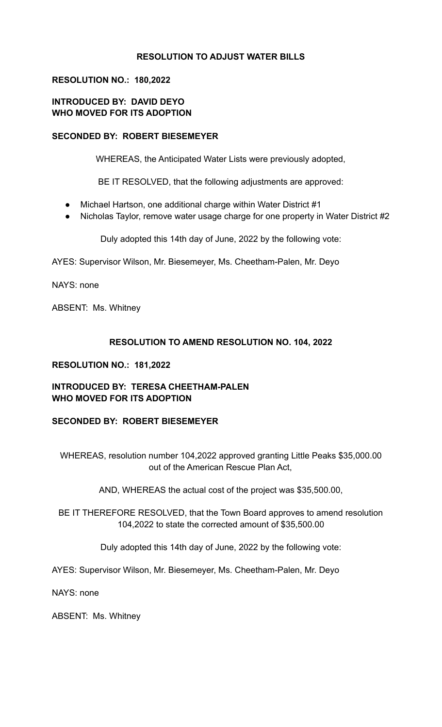# **RESOLUTION TO ADJUST WATER BILLS**

## **RESOLUTION NO.: 180,2022**

# **INTRODUCED BY: DAVID DEYO WHO MOVED FOR ITS ADOPTION**

## **SECONDED BY: ROBERT BIESEMEYER**

WHEREAS, the Anticipated Water Lists were previously adopted,

BE IT RESOLVED, that the following adjustments are approved:

- Michael Hartson, one additional charge within Water District #1
- Nicholas Taylor, remove water usage charge for one property in Water District #2

Duly adopted this 14th day of June, 2022 by the following vote:

AYES: Supervisor Wilson, Mr. Biesemeyer, Ms. Cheetham-Palen, Mr. Deyo

NAYS: none

ABSENT: Ms. Whitney

## **RESOLUTION TO AMEND RESOLUTION NO. 104, 2022**

## **RESOLUTION NO.: 181,2022**

## **INTRODUCED BY: TERESA CHEETHAM-PALEN WHO MOVED FOR ITS ADOPTION**

## **SECONDED BY: ROBERT BIESEMEYER**

WHEREAS, resolution number 104,2022 approved granting Little Peaks \$35,000.00 out of the American Rescue Plan Act,

AND, WHEREAS the actual cost of the project was \$35,500.00,

BE IT THEREFORE RESOLVED, that the Town Board approves to amend resolution 104,2022 to state the corrected amount of \$35,500.00

Duly adopted this 14th day of June, 2022 by the following vote:

AYES: Supervisor Wilson, Mr. Biesemeyer, Ms. Cheetham-Palen, Mr. Deyo

NAYS: none

ABSENT: Ms. Whitney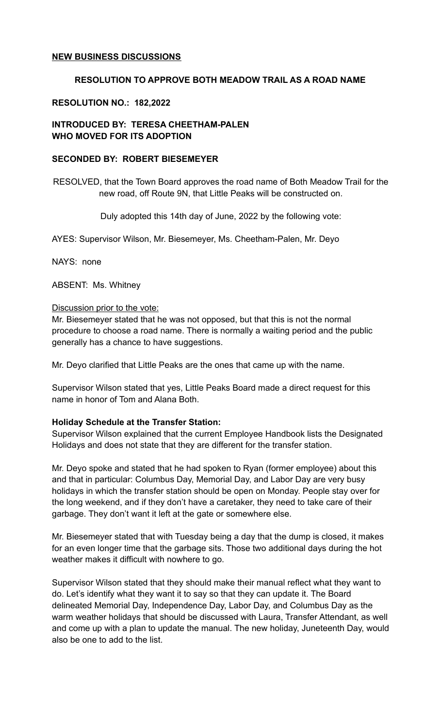## **NEW BUSINESS DISCUSSIONS**

## **RESOLUTION TO APPROVE BOTH MEADOW TRAIL AS A ROAD NAME**

## **RESOLUTION NO.: 182,2022**

# **INTRODUCED BY: TERESA CHEETHAM-PALEN WHO MOVED FOR ITS ADOPTION**

### **SECONDED BY: ROBERT BIESEMEYER**

RESOLVED, that the Town Board approves the road name of Both Meadow Trail for the new road, off Route 9N, that Little Peaks will be constructed on.

Duly adopted this 14th day of June, 2022 by the following vote:

AYES: Supervisor Wilson, Mr. Biesemeyer, Ms. Cheetham-Palen, Mr. Deyo

NAYS: none

ABSENT: Ms. Whitney

## Discussion prior to the vote:

Mr. Biesemeyer stated that he was not opposed, but that this is not the normal procedure to choose a road name. There is normally a waiting period and the public generally has a chance to have suggestions.

Mr. Deyo clarified that Little Peaks are the ones that came up with the name.

Supervisor Wilson stated that yes, Little Peaks Board made a direct request for this name in honor of Tom and Alana Both.

#### **Holiday Schedule at the Transfer Station:**

Supervisor Wilson explained that the current Employee Handbook lists the Designated Holidays and does not state that they are different for the transfer station.

Mr. Deyo spoke and stated that he had spoken to Ryan (former employee) about this and that in particular: Columbus Day, Memorial Day, and Labor Day are very busy holidays in which the transfer station should be open on Monday. People stay over for the long weekend, and if they don't have a caretaker, they need to take care of their garbage. They don't want it left at the gate or somewhere else.

Mr. Biesemeyer stated that with Tuesday being a day that the dump is closed, it makes for an even longer time that the garbage sits. Those two additional days during the hot weather makes it difficult with nowhere to go.

Supervisor Wilson stated that they should make their manual reflect what they want to do. Let's identify what they want it to say so that they can update it. The Board delineated Memorial Day, Independence Day, Labor Day, and Columbus Day as the warm weather holidays that should be discussed with Laura, Transfer Attendant, as well and come up with a plan to update the manual. The new holiday, Juneteenth Day, would also be one to add to the list.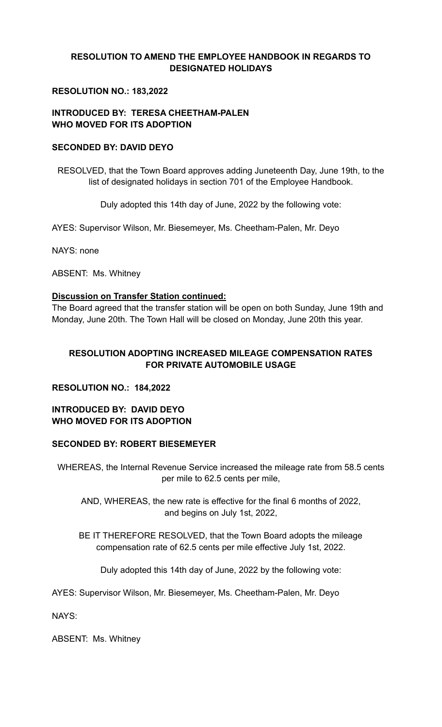# **RESOLUTION TO AMEND THE EMPLOYEE HANDBOOK IN REGARDS TO DESIGNATED HOLIDAYS**

# **RESOLUTION NO.: 183,2022**

# **INTRODUCED BY: TERESA CHEETHAM-PALEN WHO MOVED FOR ITS ADOPTION**

## **SECONDED BY: DAVID DEYO**

RESOLVED, that the Town Board approves adding Juneteenth Day, June 19th, to the list of designated holidays in section 701 of the Employee Handbook.

Duly adopted this 14th day of June, 2022 by the following vote:

AYES: Supervisor Wilson, Mr. Biesemeyer, Ms. Cheetham-Palen, Mr. Deyo

NAYS: none

ABSENT: Ms. Whitney

## **Discussion on Transfer Station continued:**

The Board agreed that the transfer station will be open on both Sunday, June 19th and Monday, June 20th. The Town Hall will be closed on Monday, June 20th this year.

# **RESOLUTION ADOPTING INCREASED MILEAGE COMPENSATION RATES FOR PRIVATE AUTOMOBILE USAGE**

## **RESOLUTION NO.: 184,2022**

## **INTRODUCED BY: DAVID DEYO WHO MOVED FOR ITS ADOPTION**

## **SECONDED BY: ROBERT BIESEMEYER**

WHEREAS, the Internal Revenue Service increased the mileage rate from 58.5 cents per mile to 62.5 cents per mile,

AND, WHEREAS, the new rate is effective for the final 6 months of 2022, and begins on July 1st, 2022,

BE IT THEREFORE RESOLVED, that the Town Board adopts the mileage compensation rate of 62.5 cents per mile effective July 1st, 2022.

Duly adopted this 14th day of June, 2022 by the following vote:

AYES: Supervisor Wilson, Mr. Biesemeyer, Ms. Cheetham-Palen, Mr. Deyo

NAYS:

ABSENT: Ms. Whitney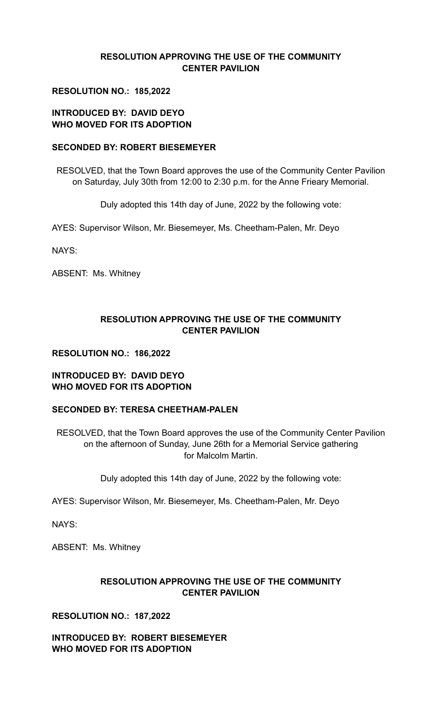# **RESOLUTION APPROVING THE USE OF THE COMMUNITY CENTER PAVILION**

# **RESOLUTION NO.: 185,2022**

# **INTRODUCED BY: DAVID DEYO WHO MOVED FOR ITS ADOPTION**

## **SECONDED BY: ROBERT BIESEMEYER**

RESOLVED, that the Town Board approves the use of the Community Center Pavilion on Saturday, July 30th from 12:00 to 2:30 p.m. for the Anne Frieary Memorial.

Duly adopted this 14th day of June, 2022 by the following vote:

AYES: Supervisor Wilson, Mr. Biesemeyer, Ms. Cheetham-Palen, Mr. Deyo

NAYS:

ABSENT: Ms. Whitney

# **RESOLUTION APPROVING THE USE OF THE COMMUNITY CENTER PAVILION**

## **RESOLUTION NO.: 186,2022**

## **INTRODUCED BY: DAVID DEYO WHO MOVED FOR ITS ADOPTION**

## **SECONDED BY: TERESA CHEETHAM-PALEN**

RESOLVED, that the Town Board approves the use of the Community Center Pavilion on the afternoon of Sunday, June 26th for a Memorial Service gathering for Malcolm Martin.

Duly adopted this 14th day of June, 2022 by the following vote:

AYES: Supervisor Wilson, Mr. Biesemeyer, Ms. Cheetham-Palen, Mr. Deyo

NAYS:

ABSENT: Ms. Whitney

# **RESOLUTION APPROVING THE USE OF THE COMMUNITY CENTER PAVILION**

**RESOLUTION NO.: 187,2022**

**INTRODUCED BY: ROBERT BIESEMEYER WHO MOVED FOR ITS ADOPTION**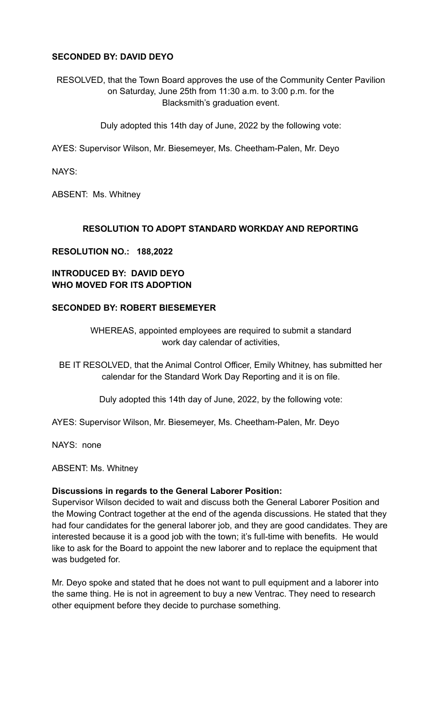# **SECONDED BY: DAVID DEYO**

RESOLVED, that the Town Board approves the use of the Community Center Pavilion on Saturday, June 25th from 11:30 a.m. to 3:00 p.m. for the Blacksmith's graduation event.

Duly adopted this 14th day of June, 2022 by the following vote:

AYES: Supervisor Wilson, Mr. Biesemeyer, Ms. Cheetham-Palen, Mr. Deyo

NAYS:

ABSENT: Ms. Whitney

# **RESOLUTION TO ADOPT STANDARD WORKDAY AND REPORTING**

## **RESOLUTION NO.: 188,2022**

# **INTRODUCED BY: DAVID DEYO WHO MOVED FOR ITS ADOPTION**

## **SECONDED BY: ROBERT BIESEMEYER**

WHEREAS, appointed employees are required to submit a standard work day calendar of activities,

BE IT RESOLVED, that the Animal Control Officer, Emily Whitney, has submitted her calendar for the Standard Work Day Reporting and it is on file.

Duly adopted this 14th day of June, 2022, by the following vote:

AYES: Supervisor Wilson, Mr. Biesemeyer, Ms. Cheetham-Palen, Mr. Deyo

NAYS: none

ABSENT: Ms. Whitney

## **Discussions in regards to the General Laborer Position:**

Supervisor Wilson decided to wait and discuss both the General Laborer Position and the Mowing Contract together at the end of the agenda discussions. He stated that they had four candidates for the general laborer job, and they are good candidates. They are interested because it is a good job with the town; it's full-time with benefits. He would like to ask for the Board to appoint the new laborer and to replace the equipment that was budgeted for.

Mr. Deyo spoke and stated that he does not want to pull equipment and a laborer into the same thing. He is not in agreement to buy a new Ventrac. They need to research other equipment before they decide to purchase something.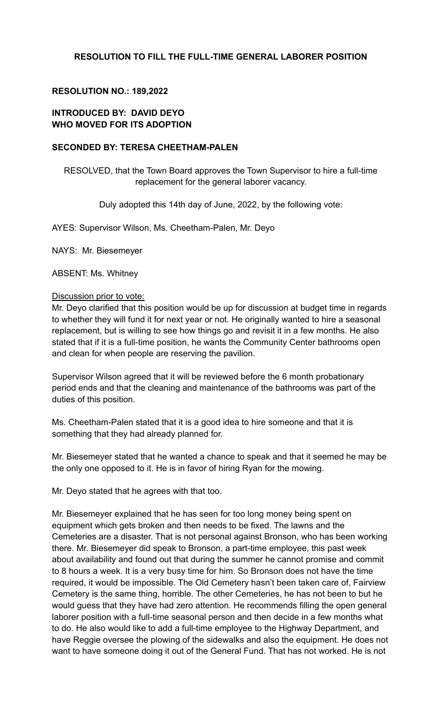# **RESOLUTION TO FILL THE FULL-TIME GENERAL LABORER POSITION**

## **RESOLUTION NO.: 189,2022**

## **INTRODUCED BY: DAVID DEYO WHO MOVED FOR ITS ADOPTION**

#### **SECONDED BY: TERESA CHEETHAM-PALEN**

RESOLVED, that the Town Board approves the Town Supervisor to hire a full-time replacement for the general laborer vacancy.

Duly adopted this 14th day of June, 2022, by the following vote:

AYES: Supervisor Wilson, Ms. Cheetham-Palen, Mr. Deyo

NAYS: Mr. Biesemeyer

ABSENT: Ms. Whitney

## Discussion prior to vote:

Mr. Deyo clarified that this position would be up for discussion at budget time in regards to whether they will fund it for next year or not. He originally wanted to hire a seasonal replacement, but is willing to see how things go and revisit it in a few months. He also stated that if it is a full-time position, he wants the Community Center bathrooms open and clean for when people are reserving the pavilion.

Supervisor Wilson agreed that it will be reviewed before the 6 month probationary period ends and that the cleaning and maintenance of the bathrooms was part of the duties of this position.

Ms. Cheetham-Palen stated that it is a good idea to hire someone and that it is something that they had already planned for.

Mr. Biesemeyer stated that he wanted a chance to speak and that it seemed he may be the only one opposed to it. He is in favor of hiring Ryan for the mowing.

Mr. Deyo stated that he agrees with that too.

Mr. Biesemeyer explained that he has seen for too long money being spent on equipment which gets broken and then needs to be fixed. The lawns and the Cemeteries are a disaster. That is not personal against Bronson, who has been working there. Mr. Biesemeyer did speak to Bronson, a part-time employee, this past week about availability and found out that during the summer he cannot promise and commit to 8 hours a week. It is a very busy time for him. So Bronson does not have the time required, it would be impossible. The Old Cemetery hasn't been taken care of, Fairview Cemetery is the same thing, horrible. The other Cemeteries, he has not been to but he would guess that they have had zero attention. He recommends filling the open general laborer position with a full-time seasonal person and then decide in a few months what to do. He also would like to add a full-time employee to the Highway Department, and have Reggie oversee the plowing of the sidewalks and also the equipment. He does not want to have someone doing it out of the General Fund. That has not worked. He is not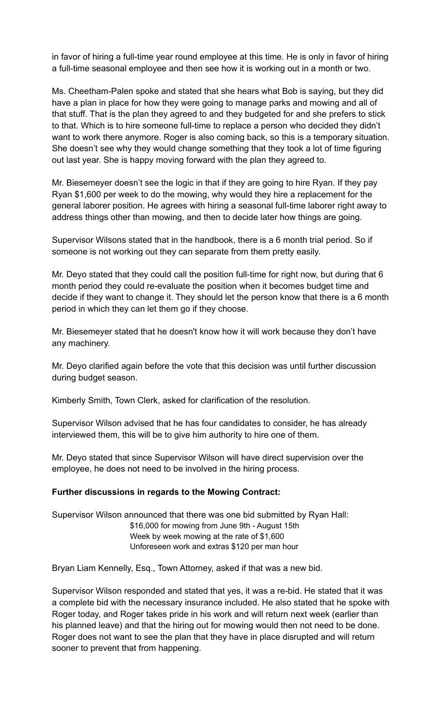in favor of hiring a full-time year round employee at this time. He is only in favor of hiring a full-time seasonal employee and then see how it is working out in a month or two.

Ms. Cheetham-Palen spoke and stated that she hears what Bob is saying, but they did have a plan in place for how they were going to manage parks and mowing and all of that stuff. That is the plan they agreed to and they budgeted for and she prefers to stick to that. Which is to hire someone full-time to replace a person who decided they didn't want to work there anymore. Roger is also coming back, so this is a temporary situation. She doesn't see why they would change something that they took a lot of time figuring out last year. She is happy moving forward with the plan they agreed to.

Mr. Biesemeyer doesn't see the logic in that if they are going to hire Ryan. If they pay Ryan \$1,600 per week to do the mowing, why would they hire a replacement for the general laborer position. He agrees with hiring a seasonal full-time laborer right away to address things other than mowing, and then to decide later how things are going.

Supervisor Wilsons stated that in the handbook, there is a 6 month trial period. So if someone is not working out they can separate from them pretty easily.

Mr. Deyo stated that they could call the position full-time for right now, but during that 6 month period they could re-evaluate the position when it becomes budget time and decide if they want to change it. They should let the person know that there is a 6 month period in which they can let them go if they choose.

Mr. Biesemeyer stated that he doesn't know how it will work because they don't have any machinery.

Mr. Deyo clarified again before the vote that this decision was until further discussion during budget season.

Kimberly Smith, Town Clerk, asked for clarification of the resolution.

Supervisor Wilson advised that he has four candidates to consider, he has already interviewed them, this will be to give him authority to hire one of them.

Mr. Deyo stated that since Supervisor Wilson will have direct supervision over the employee, he does not need to be involved in the hiring process.

#### **Further discussions in regards to the Mowing Contract:**

Supervisor Wilson announced that there was one bid submitted by Ryan Hall: \$16,000 for mowing from June 9th - August 15th Week by week mowing at the rate of \$1,600 Unforeseen work and extras \$120 per man hour

Bryan Liam Kennelly, Esq., Town Attorney, asked if that was a new bid.

Supervisor Wilson responded and stated that yes, it was a re-bid. He stated that it was a complete bid with the necessary insurance included. He also stated that he spoke with Roger today, and Roger takes pride in his work and will return next week (earlier than his planned leave) and that the hiring out for mowing would then not need to be done. Roger does not want to see the plan that they have in place disrupted and will return sooner to prevent that from happening.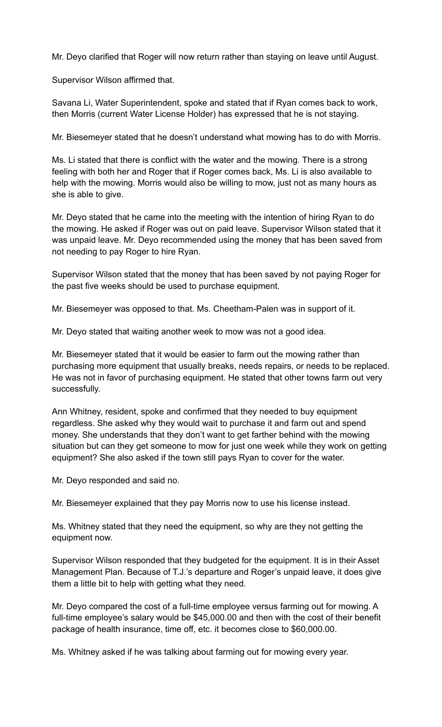Mr. Deyo clarified that Roger will now return rather than staying on leave until August.

Supervisor Wilson affirmed that.

Savana Li, Water Superintendent, spoke and stated that if Ryan comes back to work, then Morris (current Water License Holder) has expressed that he is not staying.

Mr. Biesemeyer stated that he doesn't understand what mowing has to do with Morris.

Ms. Li stated that there is conflict with the water and the mowing. There is a strong feeling with both her and Roger that if Roger comes back, Ms. Li is also available to help with the mowing. Morris would also be willing to mow, just not as many hours as she is able to give.

Mr. Deyo stated that he came into the meeting with the intention of hiring Ryan to do the mowing. He asked if Roger was out on paid leave. Supervisor Wilson stated that it was unpaid leave. Mr. Deyo recommended using the money that has been saved from not needing to pay Roger to hire Ryan.

Supervisor Wilson stated that the money that has been saved by not paying Roger for the past five weeks should be used to purchase equipment.

Mr. Biesemeyer was opposed to that. Ms. Cheetham-Palen was in support of it.

Mr. Deyo stated that waiting another week to mow was not a good idea.

Mr. Biesemeyer stated that it would be easier to farm out the mowing rather than purchasing more equipment that usually breaks, needs repairs, or needs to be replaced. He was not in favor of purchasing equipment. He stated that other towns farm out very successfully.

Ann Whitney, resident, spoke and confirmed that they needed to buy equipment regardless. She asked why they would wait to purchase it and farm out and spend money. She understands that they don't want to get farther behind with the mowing situation but can they get someone to mow for just one week while they work on getting equipment? She also asked if the town still pays Ryan to cover for the water.

Mr. Deyo responded and said no.

Mr. Biesemeyer explained that they pay Morris now to use his license instead.

Ms. Whitney stated that they need the equipment, so why are they not getting the equipment now.

Supervisor Wilson responded that they budgeted for the equipment. It is in their Asset Management Plan. Because of T.J.'s departure and Roger's unpaid leave, it does give them a little bit to help with getting what they need.

Mr. Deyo compared the cost of a full-time employee versus farming out for mowing. A full-time employee's salary would be \$45,000.00 and then with the cost of their benefit package of health insurance, time off, etc. it becomes close to \$60,000.00.

Ms. Whitney asked if he was talking about farming out for mowing every year.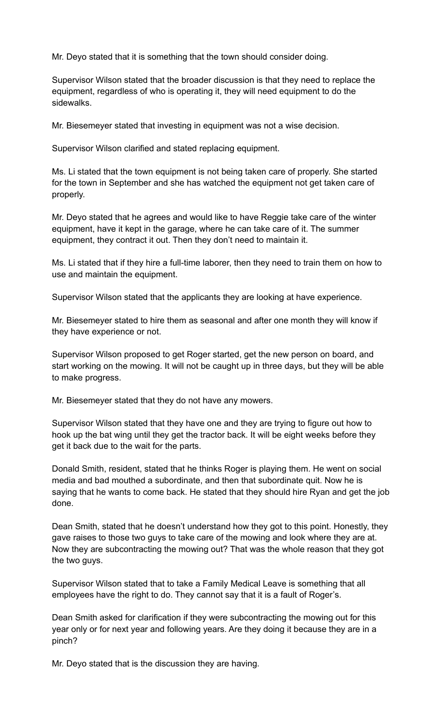Mr. Deyo stated that it is something that the town should consider doing.

Supervisor Wilson stated that the broader discussion is that they need to replace the equipment, regardless of who is operating it, they will need equipment to do the sidewalks.

Mr. Biesemeyer stated that investing in equipment was not a wise decision.

Supervisor Wilson clarified and stated replacing equipment.

Ms. Li stated that the town equipment is not being taken care of properly. She started for the town in September and she has watched the equipment not get taken care of properly.

Mr. Deyo stated that he agrees and would like to have Reggie take care of the winter equipment, have it kept in the garage, where he can take care of it. The summer equipment, they contract it out. Then they don't need to maintain it.

Ms. Li stated that if they hire a full-time laborer, then they need to train them on how to use and maintain the equipment.

Supervisor Wilson stated that the applicants they are looking at have experience.

Mr. Biesemeyer stated to hire them as seasonal and after one month they will know if they have experience or not.

Supervisor Wilson proposed to get Roger started, get the new person on board, and start working on the mowing. It will not be caught up in three days, but they will be able to make progress.

Mr. Biesemeyer stated that they do not have any mowers.

Supervisor Wilson stated that they have one and they are trying to figure out how to hook up the bat wing until they get the tractor back. It will be eight weeks before they get it back due to the wait for the parts.

Donald Smith, resident, stated that he thinks Roger is playing them. He went on social media and bad mouthed a subordinate, and then that subordinate quit. Now he is saying that he wants to come back. He stated that they should hire Ryan and get the job done.

Dean Smith, stated that he doesn't understand how they got to this point. Honestly, they gave raises to those two guys to take care of the mowing and look where they are at. Now they are subcontracting the mowing out? That was the whole reason that they got the two guys.

Supervisor Wilson stated that to take a Family Medical Leave is something that all employees have the right to do. They cannot say that it is a fault of Roger's.

Dean Smith asked for clarification if they were subcontracting the mowing out for this year only or for next year and following years. Are they doing it because they are in a pinch?

Mr. Deyo stated that is the discussion they are having.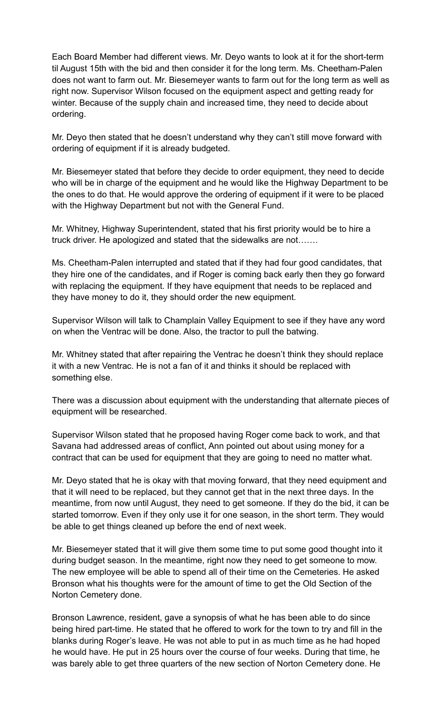Each Board Member had different views. Mr. Deyo wants to look at it for the short-term til August 15th with the bid and then consider it for the long term. Ms. Cheetham-Palen does not want to farm out. Mr. Biesemeyer wants to farm out for the long term as well as right now. Supervisor Wilson focused on the equipment aspect and getting ready for winter. Because of the supply chain and increased time, they need to decide about ordering.

Mr. Deyo then stated that he doesn't understand why they can't still move forward with ordering of equipment if it is already budgeted.

Mr. Biesemeyer stated that before they decide to order equipment, they need to decide who will be in charge of the equipment and he would like the Highway Department to be the ones to do that. He would approve the ordering of equipment if it were to be placed with the Highway Department but not with the General Fund.

Mr. Whitney, Highway Superintendent, stated that his first priority would be to hire a truck driver. He apologized and stated that the sidewalks are not…….

Ms. Cheetham-Palen interrupted and stated that if they had four good candidates, that they hire one of the candidates, and if Roger is coming back early then they go forward with replacing the equipment. If they have equipment that needs to be replaced and they have money to do it, they should order the new equipment.

Supervisor Wilson will talk to Champlain Valley Equipment to see if they have any word on when the Ventrac will be done. Also, the tractor to pull the batwing.

Mr. Whitney stated that after repairing the Ventrac he doesn't think they should replace it with a new Ventrac. He is not a fan of it and thinks it should be replaced with something else.

There was a discussion about equipment with the understanding that alternate pieces of equipment will be researched.

Supervisor Wilson stated that he proposed having Roger come back to work, and that Savana had addressed areas of conflict, Ann pointed out about using money for a contract that can be used for equipment that they are going to need no matter what.

Mr. Deyo stated that he is okay with that moving forward, that they need equipment and that it will need to be replaced, but they cannot get that in the next three days. In the meantime, from now until August, they need to get someone. If they do the bid, it can be started tomorrow. Even if they only use it for one season, in the short term. They would be able to get things cleaned up before the end of next week.

Mr. Biesemeyer stated that it will give them some time to put some good thought into it during budget season. In the meantime, right now they need to get someone to mow. The new employee will be able to spend all of their time on the Cemeteries. He asked Bronson what his thoughts were for the amount of time to get the Old Section of the Norton Cemetery done.

Bronson Lawrence, resident, gave a synopsis of what he has been able to do since being hired part-time. He stated that he offered to work for the town to try and fill in the blanks during Roger's leave. He was not able to put in as much time as he had hoped he would have. He put in 25 hours over the course of four weeks. During that time, he was barely able to get three quarters of the new section of Norton Cemetery done. He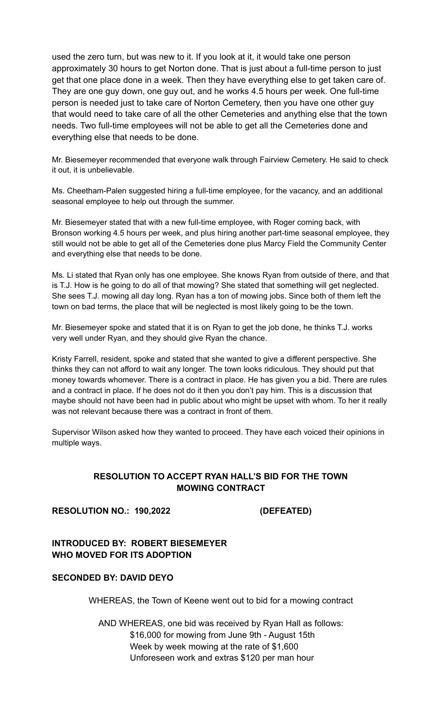used the zero turn, but was new to it. If you look at it, it would take one person approximately 30 hours to get Norton done. That is just about a full-time person to just get that one place done in a week. Then they have everything else to get taken care of. They are one guy down, one guy out, and he works 4.5 hours per week. One full-time person is needed just to take care of Norton Cemetery, then you have one other guy that would need to take care of all the other Cemeteries and anything else that the town needs. Two full-time employees will not be able to get all the Cemeteries done and everything else that needs to be done.

Mr. Biesemeyer recommended that everyone walk through Fairview Cemetery. He said to check it out, it is unbelievable.

Ms. Cheetham-Palen suggested hiring a full-time employee, for the vacancy, and an additional seasonal employee to help out through the summer.

Mr. Biesemeyer stated that with a new full-time employee, with Roger coming back, with Bronson working 4.5 hours per week, and plus hiring another part-time seasonal employee, they still would not be able to get all of the Cemeteries done plus Marcy Field the Community Center and everything else that needs to be done.

Ms. Li stated that Ryan only has one employee. She knows Ryan from outside of there, and that is T.J. How is he going to do all of that mowing? She stated that something will get neglected. She sees T.J. mowing all day long. Ryan has a ton of mowing jobs. Since both of them left the town on bad terms, the place that will be neglected is most likely going to be the town.

Mr. Biesemeyer spoke and stated that it is on Ryan to get the job done, he thinks T.J. works very well under Ryan, and they should give Ryan the chance.

Kristy Farrell, resident, spoke and stated that she wanted to give a different perspective. She thinks they can not afford to wait any longer. The town looks ridiculous. They should put that money towards whomever. There is a contract in place. He has given you a bid. There are rules and a contract in place. If he does not do it then you don't pay him. This is a discussion that maybe should not have been had in public about who might be upset with whom. To her it really was not relevant because there was a contract in front of them.

Supervisor Wilson asked how they wanted to proceed. They have each voiced their opinions in multiple ways.

# **RESOLUTION TO ACCEPT RYAN HALL'S BID FOR THE TOWN MOWING CONTRACT**

## **RESOLUTION NO.: 190,2022 (DEFEATED)**

## **INTRODUCED BY: ROBERT BIESEMEYER WHO MOVED FOR ITS ADOPTION**

## **SECONDED BY: DAVID DEYO**

WHEREAS, the Town of Keene went out to bid for a mowing contract

AND WHEREAS, one bid was received by Ryan Hall as follows: \$16,000 for mowing from June 9th - August 15th Week by week mowing at the rate of \$1,600 Unforeseen work and extras \$120 per man hour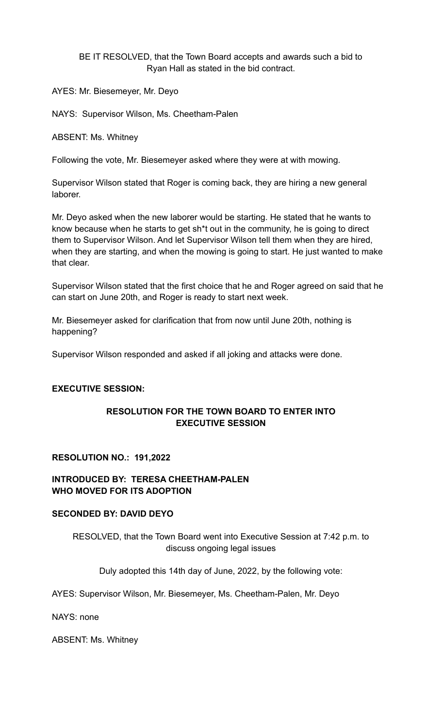BE IT RESOLVED, that the Town Board accepts and awards such a bid to Ryan Hall as stated in the bid contract.

AYES: Mr. Biesemeyer, Mr. Deyo

NAYS: Supervisor Wilson, Ms. Cheetham-Palen

ABSENT: Ms. Whitney

Following the vote, Mr. Biesemeyer asked where they were at with mowing.

Supervisor Wilson stated that Roger is coming back, they are hiring a new general laborer.

Mr. Deyo asked when the new laborer would be starting. He stated that he wants to know because when he starts to get sh\*t out in the community, he is going to direct them to Supervisor Wilson. And let Supervisor Wilson tell them when they are hired, when they are starting, and when the mowing is going to start. He just wanted to make that clear.

Supervisor Wilson stated that the first choice that he and Roger agreed on said that he can start on June 20th, and Roger is ready to start next week.

Mr. Biesemeyer asked for clarification that from now until June 20th, nothing is happening?

Supervisor Wilson responded and asked if all joking and attacks were done.

## **EXECUTIVE SESSION:**

## **RESOLUTION FOR THE TOWN BOARD TO ENTER INTO EXECUTIVE SESSION**

#### **RESOLUTION NO.: 191,2022**

## **INTRODUCED BY: TERESA CHEETHAM-PALEN WHO MOVED FOR ITS ADOPTION**

#### **SECONDED BY: DAVID DEYO**

RESOLVED, that the Town Board went into Executive Session at 7:42 p.m. to discuss ongoing legal issues

Duly adopted this 14th day of June, 2022, by the following vote:

AYES: Supervisor Wilson, Mr. Biesemeyer, Ms. Cheetham-Palen, Mr. Deyo

NAYS: none

ABSENT: Ms. Whitney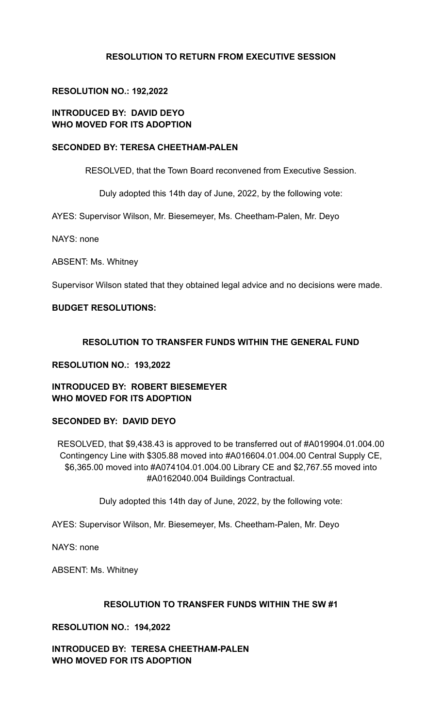# **RESOLUTION TO RETURN FROM EXECUTIVE SESSION**

# **RESOLUTION NO.: 192,2022**

# **INTRODUCED BY: DAVID DEYO WHO MOVED FOR ITS ADOPTION**

#### **SECONDED BY: TERESA CHEETHAM-PALEN**

RESOLVED, that the Town Board reconvened from Executive Session.

Duly adopted this 14th day of June, 2022, by the following vote:

AYES: Supervisor Wilson, Mr. Biesemeyer, Ms. Cheetham-Palen, Mr. Deyo

NAYS: none

ABSENT: Ms. Whitney

Supervisor Wilson stated that they obtained legal advice and no decisions were made.

## **BUDGET RESOLUTIONS:**

## **RESOLUTION TO TRANSFER FUNDS WITHIN THE GENERAL FUND**

#### **RESOLUTION NO.: 193,2022**

# **INTRODUCED BY: ROBERT BIESEMEYER WHO MOVED FOR ITS ADOPTION**

# **SECONDED BY: DAVID DEYO**

RESOLVED, that \$9,438.43 is approved to be transferred out of #A019904.01.004.00 Contingency Line with \$305.88 moved into #A016604.01.004.00 Central Supply CE, \$6,365.00 moved into #A074104.01.004.00 Library CE and \$2,767.55 moved into #A0162040.004 Buildings Contractual.

Duly adopted this 14th day of June, 2022, by the following vote:

AYES: Supervisor Wilson, Mr. Biesemeyer, Ms. Cheetham-Palen, Mr. Deyo

NAYS: none

ABSENT: Ms. Whitney

#### **RESOLUTION TO TRANSFER FUNDS WITHIN THE SW #1**

**RESOLUTION NO.: 194,2022**

**INTRODUCED BY: TERESA CHEETHAM-PALEN WHO MOVED FOR ITS ADOPTION**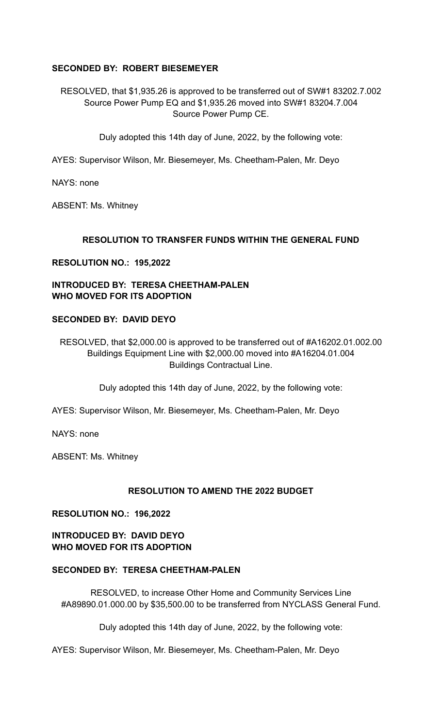## **SECONDED BY: ROBERT BIESEMEYER**

RESOLVED, that \$1,935.26 is approved to be transferred out of SW#1 83202.7.002 Source Power Pump EQ and \$1,935.26 moved into SW#1 83204.7.004 Source Power Pump CE.

Duly adopted this 14th day of June, 2022, by the following vote:

AYES: Supervisor Wilson, Mr. Biesemeyer, Ms. Cheetham-Palen, Mr. Deyo

NAYS: none

ABSENT: Ms. Whitney

## **RESOLUTION TO TRANSFER FUNDS WITHIN THE GENERAL FUND**

## **RESOLUTION NO.: 195,2022**

# **INTRODUCED BY: TERESA CHEETHAM-PALEN WHO MOVED FOR ITS ADOPTION**

## **SECONDED BY: DAVID DEYO**

RESOLVED, that \$2,000.00 is approved to be transferred out of #A16202.01.002.00 Buildings Equipment Line with \$2,000.00 moved into #A16204.01.004 Buildings Contractual Line.

Duly adopted this 14th day of June, 2022, by the following vote:

AYES: Supervisor Wilson, Mr. Biesemeyer, Ms. Cheetham-Palen, Mr. Deyo

NAYS: none

ABSENT: Ms. Whitney

## **RESOLUTION TO AMEND THE 2022 BUDGET**

#### **RESOLUTION NO.: 196,2022**

**INTRODUCED BY: DAVID DEYO WHO MOVED FOR ITS ADOPTION**

#### **SECONDED BY: TERESA CHEETHAM-PALEN**

RESOLVED, to increase Other Home and Community Services Line #A89890.01.000.00 by \$35,500.00 to be transferred from NYCLASS General Fund.

Duly adopted this 14th day of June, 2022, by the following vote:

AYES: Supervisor Wilson, Mr. Biesemeyer, Ms. Cheetham-Palen, Mr. Deyo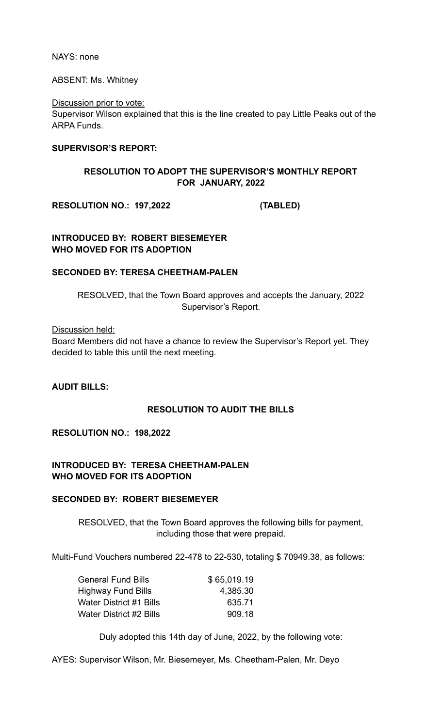NAYS: none

ABSENT: Ms. Whitney

Discussion prior to vote:

Supervisor Wilson explained that this is the line created to pay Little Peaks out of the ARPA Funds.

## **SUPERVISOR'S REPORT:**

# **RESOLUTION TO ADOPT THE SUPERVISOR'S MONTHLY REPORT FOR JANUARY, 2022**

**RESOLUTION NO.: 197,2022 (TABLED)**

**INTRODUCED BY: ROBERT BIESEMEYER WHO MOVED FOR ITS ADOPTION**

## **SECONDED BY: TERESA CHEETHAM-PALEN**

RESOLVED, that the Town Board approves and accepts the January, 2022 Supervisor's Report.

Discussion held:

Board Members did not have a chance to review the Supervisor's Report yet. They decided to table this until the next meeting.

**AUDIT BILLS:**

## **RESOLUTION TO AUDIT THE BILLS**

**RESOLUTION NO.: 198,2022**

# **INTRODUCED BY: TERESA CHEETHAM-PALEN WHO MOVED FOR ITS ADOPTION**

## **SECONDED BY: ROBERT BIESEMEYER**

RESOLVED, that the Town Board approves the following bills for payment, including those that were prepaid.

Multi-Fund Vouchers numbered 22-478 to 22-530, totaling \$ 70949.38, as follows:

| <b>General Fund Bills</b> | \$65,019.19 |
|---------------------------|-------------|
| Highway Fund Bills        | 4,385.30    |
| Water District #1 Bills   | 635.71      |
| Water District #2 Bills   | 909.18      |

Duly adopted this 14th day of June, 2022, by the following vote:

AYES: Supervisor Wilson, Mr. Biesemeyer, Ms. Cheetham-Palen, Mr. Deyo